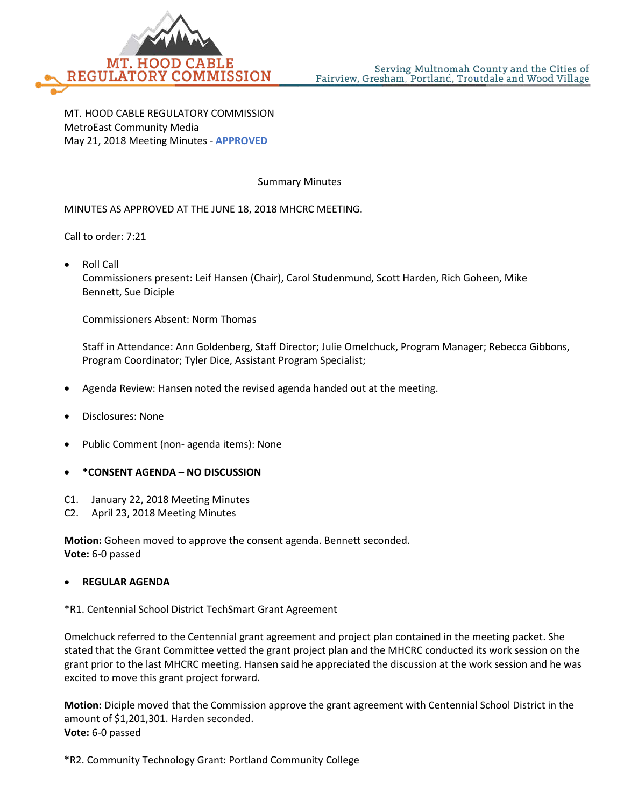

MT. HOOD CABLE REGULATORY COMMISSION MetroEast Community Media May 21, 2018 Meeting Minutes - **APPROVED**

Summary Minutes

MINUTES AS APPROVED AT THE JUNE 18, 2018 MHCRC MEETING.

Call to order: 7:21

• Roll Call

Commissioners present: Leif Hansen (Chair), Carol Studenmund, Scott Harden, Rich Goheen, Mike Bennett, Sue Diciple

Commissioners Absent: Norm Thomas

Staff in Attendance: Ann Goldenberg, Staff Director; Julie Omelchuck, Program Manager; Rebecca Gibbons, Program Coordinator; Tyler Dice, Assistant Program Specialist;

- Agenda Review: Hansen noted the revised agenda handed out at the meeting.
- Disclosures: None
- Public Comment (non- agenda items): None
- **\*CONSENT AGENDA – NO DISCUSSION**
- C1. January 22, 2018 Meeting Minutes
- C2. April 23, 2018 Meeting Minutes

**Motion:** Goheen moved to approve the consent agenda. Bennett seconded. **Vote:** 6-0 passed

## • **REGULAR AGENDA**

\*R1. Centennial School District TechSmart Grant Agreement

Omelchuck referred to the Centennial grant agreement and project plan contained in the meeting packet. She stated that the Grant Committee vetted the grant project plan and the MHCRC conducted its work session on the grant prior to the last MHCRC meeting. Hansen said he appreciated the discussion at the work session and he was excited to move this grant project forward.

**Motion:** Diciple moved that the Commission approve the grant agreement with Centennial School District in the amount of \$1,201,301. Harden seconded. **Vote:** 6-0 passed

\*R2. Community Technology Grant: Portland Community College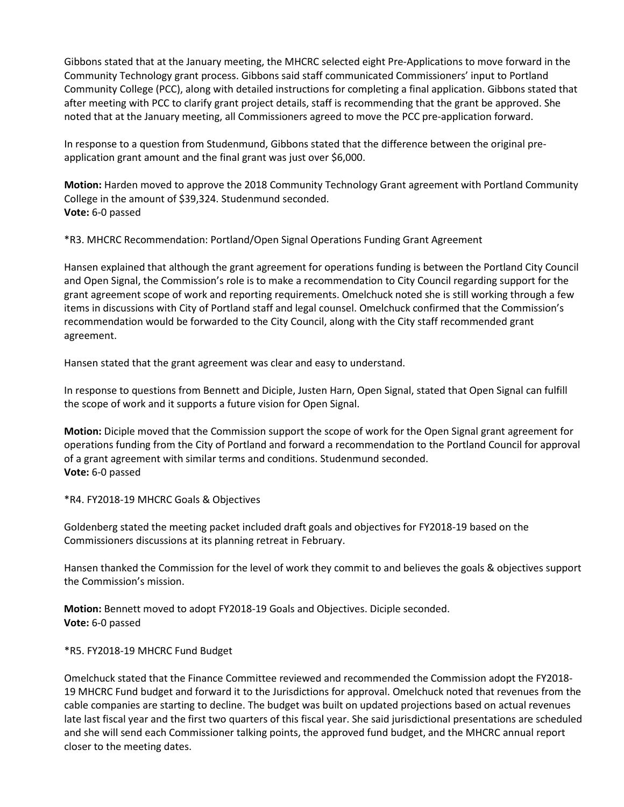Gibbons stated that at the January meeting, the MHCRC selected eight Pre-Applications to move forward in the Community Technology grant process. Gibbons said staff communicated Commissioners' input to Portland Community College (PCC), along with detailed instructions for completing a final application. Gibbons stated that after meeting with PCC to clarify grant project details, staff is recommending that the grant be approved. She noted that at the January meeting, all Commissioners agreed to move the PCC pre-application forward.

In response to a question from Studenmund, Gibbons stated that the difference between the original preapplication grant amount and the final grant was just over \$6,000.

**Motion:** Harden moved to approve the 2018 Community Technology Grant agreement with Portland Community College in the amount of \$39,324. Studenmund seconded. **Vote:** 6-0 passed

\*R3. MHCRC Recommendation: Portland/Open Signal Operations Funding Grant Agreement

Hansen explained that although the grant agreement for operations funding is between the Portland City Council and Open Signal, the Commission's role is to make a recommendation to City Council regarding support for the grant agreement scope of work and reporting requirements. Omelchuck noted she is still working through a few items in discussions with City of Portland staff and legal counsel. Omelchuck confirmed that the Commission's recommendation would be forwarded to the City Council, along with the City staff recommended grant agreement.

Hansen stated that the grant agreement was clear and easy to understand.

In response to questions from Bennett and Diciple, Justen Harn, Open Signal, stated that Open Signal can fulfill the scope of work and it supports a future vision for Open Signal.

**Motion:** Diciple moved that the Commission support the scope of work for the Open Signal grant agreement for operations funding from the City of Portland and forward a recommendation to the Portland Council for approval of a grant agreement with similar terms and conditions. Studenmund seconded. **Vote:** 6-0 passed

\*R4. FY2018-19 MHCRC Goals & Objectives

Goldenberg stated the meeting packet included draft goals and objectives for FY2018-19 based on the Commissioners discussions at its planning retreat in February.

Hansen thanked the Commission for the level of work they commit to and believes the goals & objectives support the Commission's mission.

**Motion:** Bennett moved to adopt FY2018-19 Goals and Objectives. Diciple seconded. **Vote:** 6-0 passed

\*R5. FY2018-19 MHCRC Fund Budget

Omelchuck stated that the Finance Committee reviewed and recommended the Commission adopt the FY2018- 19 MHCRC Fund budget and forward it to the Jurisdictions for approval. Omelchuck noted that revenues from the cable companies are starting to decline. The budget was built on updated projections based on actual revenues late last fiscal year and the first two quarters of this fiscal year. She said jurisdictional presentations are scheduled and she will send each Commissioner talking points, the approved fund budget, and the MHCRC annual report closer to the meeting dates.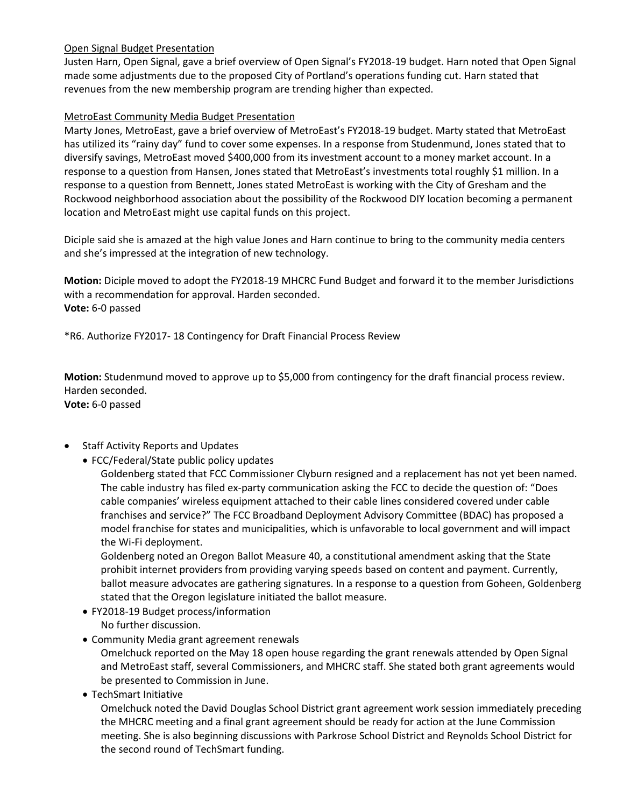## Open Signal Budget Presentation

Justen Harn, Open Signal, gave a brief overview of Open Signal's FY2018-19 budget. Harn noted that Open Signal made some adjustments due to the proposed City of Portland's operations funding cut. Harn stated that revenues from the new membership program are trending higher than expected.

## MetroEast Community Media Budget Presentation

Marty Jones, MetroEast, gave a brief overview of MetroEast's FY2018-19 budget. Marty stated that MetroEast has utilized its "rainy day" fund to cover some expenses. In a response from Studenmund, Jones stated that to diversify savings, MetroEast moved \$400,000 from its investment account to a money market account. In a response to a question from Hansen, Jones stated that MetroEast's investments total roughly \$1 million. In a response to a question from Bennett, Jones stated MetroEast is working with the City of Gresham and the Rockwood neighborhood association about the possibility of the Rockwood DIY location becoming a permanent location and MetroEast might use capital funds on this project.

Diciple said she is amazed at the high value Jones and Harn continue to bring to the community media centers and she's impressed at the integration of new technology.

**Motion:** Diciple moved to adopt the FY2018-19 MHCRC Fund Budget and forward it to the member Jurisdictions with a recommendation for approval. Harden seconded. **Vote:** 6-0 passed

\*R6. Authorize FY2017- 18 Contingency for Draft Financial Process Review

**Motion:** Studenmund moved to approve up to \$5,000 from contingency for the draft financial process review. Harden seconded. **Vote:** 6-0 passed

- Staff Activity Reports and Updates
	- FCC/Federal/State public policy updates

Goldenberg stated that FCC Commissioner Clyburn resigned and a replacement has not yet been named. The cable industry has filed ex-party communication asking the FCC to decide the question of: "Does cable companies' wireless equipment attached to their cable lines considered covered under cable franchises and service?" The FCC Broadband Deployment Advisory Committee (BDAC) has proposed a model franchise for states and municipalities, which is unfavorable to local government and will impact the Wi-Fi deployment.

Goldenberg noted an Oregon Ballot Measure 40, a constitutional amendment asking that the State prohibit internet providers from providing varying speeds based on content and payment. Currently, ballot measure advocates are gathering signatures. In a response to a question from Goheen, Goldenberg stated that the Oregon legislature initiated the ballot measure.

- FY2018-19 Budget process/information No further discussion.
- Community Media grant agreement renewals

Omelchuck reported on the May 18 open house regarding the grant renewals attended by Open Signal and MetroEast staff, several Commissioners, and MHCRC staff. She stated both grant agreements would be presented to Commission in June.

• TechSmart Initiative

Omelchuck noted the David Douglas School District grant agreement work session immediately preceding the MHCRC meeting and a final grant agreement should be ready for action at the June Commission meeting. She is also beginning discussions with Parkrose School District and Reynolds School District for the second round of TechSmart funding.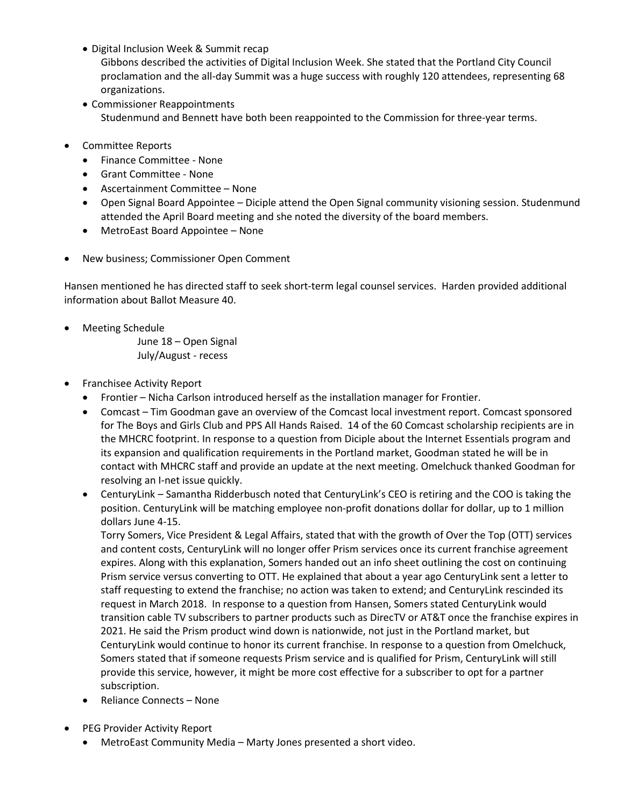- Digital Inclusion Week & Summit recap
	- Gibbons described the activities of Digital Inclusion Week. She stated that the Portland City Council proclamation and the all-day Summit was a huge success with roughly 120 attendees, representing 68 organizations.
- Commissioner Reappointments Studenmund and Bennett have both been reappointed to the Commission for three-year terms.
- Committee Reports
	- Finance Committee None
	- Grant Committee None
	- Ascertainment Committee None
	- Open Signal Board Appointee Diciple attend the Open Signal community visioning session. Studenmund attended the April Board meeting and she noted the diversity of the board members.
	- MetroEast Board Appointee None
- New business; Commissioner Open Comment

Hansen mentioned he has directed staff to seek short-term legal counsel services. Harden provided additional information about Ballot Measure 40.

• Meeting Schedule

June 18 – Open Signal July/August - recess

- Franchisee Activity Report
	- Frontier Nicha Carlson introduced herself as the installation manager for Frontier.
	- Comcast Tim Goodman gave an overview of the Comcast local investment report. Comcast sponsored for The Boys and Girls Club and PPS All Hands Raised. 14 of the 60 Comcast scholarship recipients are in the MHCRC footprint. In response to a question from Diciple about the Internet Essentials program and its expansion and qualification requirements in the Portland market, Goodman stated he will be in contact with MHCRC staff and provide an update at the next meeting. Omelchuck thanked Goodman for resolving an I-net issue quickly.
	- CenturyLink Samantha Ridderbusch noted that CenturyLink's CEO is retiring and the COO is taking the position. CenturyLink will be matching employee non-profit donations dollar for dollar, up to 1 million dollars June 4-15.

Torry Somers, Vice President & Legal Affairs, stated that with the growth of Over the Top (OTT) services and content costs, CenturyLink will no longer offer Prism services once its current franchise agreement expires. Along with this explanation, Somers handed out an info sheet outlining the cost on continuing Prism service versus converting to OTT. He explained that about a year ago CenturyLink sent a letter to staff requesting to extend the franchise; no action was taken to extend; and CenturyLink rescinded its request in March 2018. In response to a question from Hansen, Somers stated CenturyLink would transition cable TV subscribers to partner products such as DirecTV or AT&T once the franchise expires in 2021. He said the Prism product wind down is nationwide, not just in the Portland market, but CenturyLink would continue to honor its current franchise. In response to a question from Omelchuck, Somers stated that if someone requests Prism service and is qualified for Prism, CenturyLink will still provide this service, however, it might be more cost effective for a subscriber to opt for a partner subscription.

- Reliance Connects None
- PEG Provider Activity Report
	- MetroEast Community Media Marty Jones presented a short video.